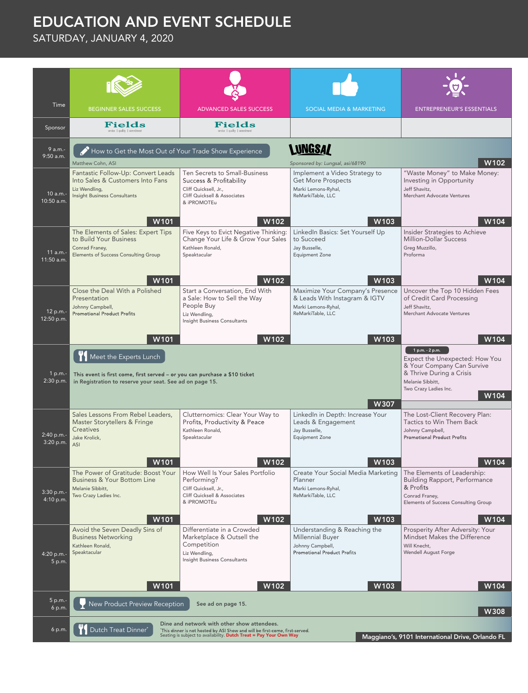## EDUCATION AND EVENT SCHEDULE

SATURDAY, JANUARY 4, 2020

| Time                    | <b>BEGINNER SALES SUCCESS</b>                                                                                                                                                                                                                                                | <b>ADVANCED SALES SUCCESS</b>                                                                                                                                    | <b>SOCIAL MEDIA &amp; MARKETING</b>                                                                                                                | <b>ENTREPRENEUR'S ESSENTIALS</b>                                                                                             |  |  |
|-------------------------|------------------------------------------------------------------------------------------------------------------------------------------------------------------------------------------------------------------------------------------------------------------------------|------------------------------------------------------------------------------------------------------------------------------------------------------------------|----------------------------------------------------------------------------------------------------------------------------------------------------|------------------------------------------------------------------------------------------------------------------------------|--|--|
| Sponsor                 | Fields<br>service   quality   commitm                                                                                                                                                                                                                                        | Fields<br>service   quality   commitm                                                                                                                            |                                                                                                                                                    |                                                                                                                              |  |  |
| 9 a.m.-<br>9:50 a.m.    | How to Get the Most Out of Your Trade Show Experience<br>Matthew Cohn, ASI                                                                                                                                                                                                   | W102                                                                                                                                                             |                                                                                                                                                    |                                                                                                                              |  |  |
| 10 a.m.-<br>10:50 a.m.  | Fantastic Follow-Up: Convert Leads<br>Into Sales & Customers Into Fans<br>Liz Wendling,<br><b>Insight Business Consultants</b><br>W101                                                                                                                                       | Ten Secrets to Small-Business<br>Success & Profitability<br>Cliff Quicksell, Jr.,<br>Cliff Quicksell & Associates<br>& iPROMOTEu<br>W102                         | Sponsored by: Lungsal, asi/68190<br>Implement a Video Strategy to<br><b>Get More Prospects</b><br>Marki Lemons-Ryhal,<br>ReMarkiTable, LLC<br>W103 | "Waste Money" to Make Money:<br>Investing in Opportunity<br>Jeff Shavitz,<br>Merchant Advocate Ventures<br>W104              |  |  |
| 11 a.m.-<br>11:50 a.m.  | The Elements of Sales: Expert Tips<br>to Build Your Business<br>Conrad Franey,<br><b>Elements of Success Consulting Group</b><br>W <sub>101</sub>                                                                                                                            | Five Keys to Evict Negative Thinking:<br>Change Your Life & Grow Your Sales<br>Kathleen Ronald,<br>Speaktacular<br>W102                                          | LinkedIn Basics: Set Yourself Up<br>to Succeed<br>Jay Busselle,<br><b>Equipment Zone</b><br>W <sub>103</sub>                                       | Insider Strategies to Achieve<br><b>Million-Dollar Success</b><br>Greg Muzzillo,<br>Proforma<br>W104                         |  |  |
| 12 p.m.-<br>12:50 p.m.  | Close the Deal With a Polished<br>Presentation<br>Johnny Campbell,<br><b>Promotional Product Profits</b><br>W <sub>101</sub>                                                                                                                                                 | Start a Conversation, End With<br>a Sale: How to Sell the Way<br>People Buy<br>Liz Wendling,<br>Insight Business Consultants<br>W102                             | Maximize Your Company's Presence<br>& Leads With Instagram & IGTV<br>Marki Lemons-Ryhal,<br>ReMarkiTable, LLC<br>W103                              | Uncover the Top 10 Hidden Fees<br>of Credit Card Processing<br>Jeff Shavitz,<br>Merchant Advocate Ventures<br>W104           |  |  |
| 1 p.m.-<br>2:30 p.m.    | Meet the Experts Lunch<br>This event is first come, first served - or you can purchase a \$10 ticket<br>in Registration to reserve your seat. See ad on page 15.                                                                                                             | 1 p.m. - 2 p.m.<br>Expect the Unexpected: How You<br>& Your Company Can Survive<br>& Thrive During a Crisis<br>Melanie Sibbitt,<br>Two Crazy Ladies Inc.<br>W104 |                                                                                                                                                    |                                                                                                                              |  |  |
| 2:40 p.m.-<br>3:20 p.m. | Sales Lessons From Rebel Leaders,<br>Master Storytellers & Fringe<br><b>Creatives</b><br>Jake Krolick,<br><b>ASI</b><br>W101                                                                                                                                                 | Clutternomics: Clear Your Way to<br>Profits, Productivity & Peace<br>Kathleen Ronald,<br>Speaktacular<br>W102                                                    | W307<br>LinkedIn in Depth: Increase Your<br>Leads & Engagement<br>Jay Busselle,<br><b>Equipment Zone</b><br>W <sub>103</sub>                       | The Lost-Client Recovery Plan:<br>Tactics to Win Them Back<br>Johnny Campbell,<br><b>Promotional Product Profits</b><br>W104 |  |  |
| 3:30 p.m.-<br>4:10 p.m. | The Power of Gratitude: Boost Your<br><b>Business &amp; Your Bottom Line</b><br>Melanie Sibbitt,<br>Two Crazy Ladies Inc.<br>W101                                                                                                                                            | How Well Is Your Sales Portfolio<br>Performing?<br>Cliff Quicksell, Jr.,<br>Cliff Quicksell & Associates<br>& iPROMOTEu<br>W102                                  | Create Your Social Media Marketing   The Elements of Leadership:<br>Planner<br>Marki Lemons-Ryhal,<br>ReMarkiTable, LLC<br>W103                    | <b>Building Rapport, Performance</b><br>& Profits<br>Conrad Franey,<br>Elements of Success Consulting Group<br>W104          |  |  |
| 4:20 p.m.-<br>5 p.m.    | Avoid the Seven Deadly Sins of<br><b>Business Networking</b><br>Kathleen Ronald,<br>Speaktacular<br>W101                                                                                                                                                                     | Differentiate in a Crowded<br>Marketplace & Outsell the<br>Competition<br>Liz Wendling,<br>Insight Business Consultants<br>W <sub>102</sub>                      | Understanding & Reaching the<br><b>Millennial Buyer</b><br>Johnny Campbell,<br><b>Promotional Product Profits</b><br>W103                          | Prosperity After Adversity: Your<br>Mindset Makes the Difference<br>Will Knecht,<br><b>Wendell August Forge</b><br>W104      |  |  |
| 5 p.m.-<br>6 p.m.       | New Product Preview Reception                                                                                                                                                                                                                                                | See ad on page 15.                                                                                                                                               |                                                                                                                                                    | W308                                                                                                                         |  |  |
| 6 p.m.                  | Dine and network with other show attendees.<br>Dutch Treat Dinner*<br>'This dinner is not hosted by ASI Show and will be first-come, first-served.<br>Seating is subject to availability. Dutch Treat = Pay Your Own Way<br>Maggiano's, 9101 International Drive, Orlando FL |                                                                                                                                                                  |                                                                                                                                                    |                                                                                                                              |  |  |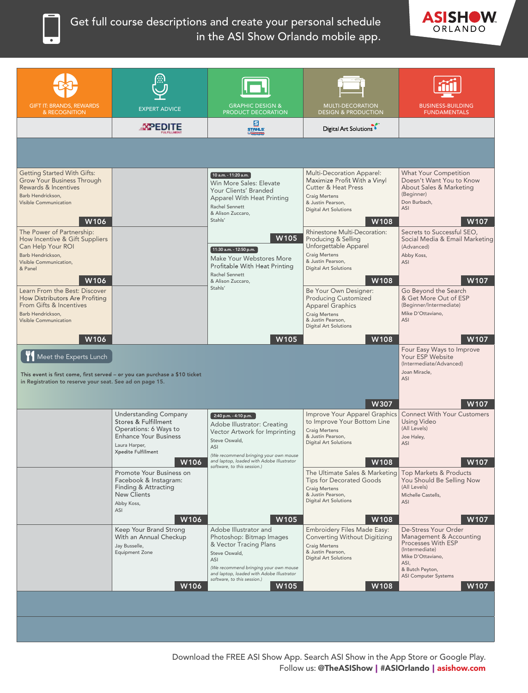

## Get full course descriptions and create your personal schedule in the ASI Show Orlando mobile app.



| <b>GIFT IT: BRANDS, REWARDS</b><br>& RECOGNITION                                                                                                      | <b>EXPERT ADVICE</b>                                                                                                          | <b>GRAPHIC DESIGN &amp;</b><br>PRODUCT DECORATION                                                                                                                                                                        | MULTI-DECORATION<br><b>DESIGN &amp; PRODUCTION</b>                                                                                                                               | <b>BUSINESS-BUILDING</b><br><b>FUNDAMENTALS</b>                                                                                                                        |
|-------------------------------------------------------------------------------------------------------------------------------------------------------|-------------------------------------------------------------------------------------------------------------------------------|--------------------------------------------------------------------------------------------------------------------------------------------------------------------------------------------------------------------------|----------------------------------------------------------------------------------------------------------------------------------------------------------------------------------|------------------------------------------------------------------------------------------------------------------------------------------------------------------------|
|                                                                                                                                                       | -XPEDITE                                                                                                                      | Б<br>STAHLS:                                                                                                                                                                                                             | Digital Art Solutions                                                                                                                                                            |                                                                                                                                                                        |
|                                                                                                                                                       |                                                                                                                               |                                                                                                                                                                                                                          |                                                                                                                                                                                  |                                                                                                                                                                        |
|                                                                                                                                                       |                                                                                                                               |                                                                                                                                                                                                                          |                                                                                                                                                                                  |                                                                                                                                                                        |
| <b>Getting Started With Gifts:</b><br><b>Grow Your Business Through</b><br>Rewards & Incentives<br>Barb Hendrickson,<br>Visible Communication<br>W106 |                                                                                                                               | ์ 10 a.m. - 11:20 a.m. ่<br>Win More Sales: Elevate<br>Your Clients' Branded<br>Apparel With Heat Printing<br>Rachel Sennett<br>& Alison Zuccaro,<br>Stahls'                                                             | Multi-Decoration Apparel:<br>Maximize Profit With a Vinyl<br><b>Cutter &amp; Heat Press</b><br><b>Craig Mertens</b><br>& Justin Pearson,<br><b>Digital Art Solutions</b><br>W108 | <b>What Your Competition</b><br>Doesn't Want You to Know<br>About Sales & Marketing<br>(Beginner)<br>Don Burbach,<br>ASI<br>W107                                       |
| The Power of Partnership:<br>How Incentive & Gift Suppliers<br>Can Help Your ROI<br>Barb Hendrickson,<br>Visible Communication.<br>& Panel<br>W106    |                                                                                                                               | W105<br>11:30 a.m. - 12:50 p.m.<br>Make Your Webstores More<br>Profitable With Heat Printing<br>Rachel Sennett                                                                                                           | Rhinestone Multi-Decoration:<br>Producing & Selling<br>Unforgettable Apparel<br><b>Craig Mertens</b><br>& Justin Pearson,<br><b>Digital Art Solutions</b>                        | Secrets to Successful SEO,<br>Social Media & Email Marketing<br>(Advanced)<br>Abby Koss,<br>ASI                                                                        |
| Learn From the Best: Discover<br>How Distributors Are Profiting<br>From Gifts & Incentives<br>Barb Hendrickson,<br>Visible Communication              |                                                                                                                               | & Alison Zuccaro,<br>Stahls'                                                                                                                                                                                             | W108<br>Be Your Own Designer:<br><b>Producing Customized</b><br><b>Apparel Graphics</b><br><b>Craig Mertens</b><br>& Justin Pearson,<br>Digital Art Solutions                    | W107<br>Go Beyond the Search<br>& Get More Out of ESP<br>(Beginner/Intermediate)<br>Mike D'Ottaviano,<br>ASI                                                           |
| W106                                                                                                                                                  |                                                                                                                               | W <sub>105</sub>                                                                                                                                                                                                         | W108                                                                                                                                                                             | W107                                                                                                                                                                   |
| Meet the Experts Lunch<br>in Registration to reserve your seat. See ad on page 15.                                                                    | This event is first come, first served - or you can purchase a \$10 ticket                                                    |                                                                                                                                                                                                                          | W307                                                                                                                                                                             | Four Easy Ways to Improve<br>Your ESP Website<br>(Intermediate/Advanced)<br>Joan Miracle,<br>ASI<br>W107                                                               |
|                                                                                                                                                       | <b>Understanding Company</b>                                                                                                  | $2:40 p.m. - 4:10 p.m.$                                                                                                                                                                                                  | Improve Your Apparel Graphics                                                                                                                                                    | <b>Connect With Your Customers</b>                                                                                                                                     |
|                                                                                                                                                       | Stores & Fulfillment<br>Operations: 6 Ways to<br><b>Enhance Your Business</b><br>Laura Harper,<br>Xpedite Fulfillment<br>W106 | Adobe Illustrator: Creating<br>Vector Artwork for Imprinting<br>Steve Oswald,<br>ASI<br>(We recommend bringing your own mouse<br>and laptop, loaded with Adobe Illustrator                                               | to Improve Your Bottom Line<br><b>Craig Mertens</b><br>& Justin Pearson,<br><b>Digital Art Solutions</b><br>W108                                                                 | <b>Using Video</b><br>(All Levels)<br>Joe Haley,<br>ASI<br>W107                                                                                                        |
|                                                                                                                                                       | Promote Your Business on                                                                                                      | software, to this session.)                                                                                                                                                                                              | The Ultimate Sales & Marketing                                                                                                                                                   | Top Markets & Products                                                                                                                                                 |
|                                                                                                                                                       | Facebook & Instagram:<br>Finding & Attracting<br><b>New Clients</b><br>Abby Koss,<br>ASI                                      |                                                                                                                                                                                                                          | <b>Tips for Decorated Goods</b><br><b>Craig Mertens</b><br>& Justin Pearson,<br>Digital Art Solutions                                                                            | You Should Be Selling Now<br>(All Levels)<br>Michelle Castells,<br>ASI                                                                                                 |
|                                                                                                                                                       | W106                                                                                                                          | W105                                                                                                                                                                                                                     | W108                                                                                                                                                                             | W107                                                                                                                                                                   |
|                                                                                                                                                       | Keep Your Brand Strong<br>With an Annual Checkup<br>Jay Busselle,<br><b>Equipment Zone</b>                                    | Adobe Illustrator and<br>Photoshop: Bitmap Images<br>& Vector Tracing Plans<br>Steve Oswald,<br>ASI<br>(We recommend bringing your own mouse<br>and laptop, loaded with Adobe Illustrator<br>software, to this session.) | Embroidery Files Made Easy:<br><b>Converting Without Digitizing</b><br><b>Craig Mertens</b><br>& Justin Pearson,<br><b>Digital Art Solutions</b>                                 | De-Stress Your Order<br>Management & Accounting<br>Processes With ESP<br>(Intermediate)<br>Mike D'Ottaviano,<br>ASI,<br>& Butch Peyton,<br><b>ASI Computer Systems</b> |
|                                                                                                                                                       | W <sub>106</sub>                                                                                                              | W <sub>105</sub>                                                                                                                                                                                                         | W <sub>108</sub>                                                                                                                                                                 | W107                                                                                                                                                                   |
|                                                                                                                                                       |                                                                                                                               |                                                                                                                                                                                                                          |                                                                                                                                                                                  |                                                                                                                                                                        |
|                                                                                                                                                       |                                                                                                                               |                                                                                                                                                                                                                          |                                                                                                                                                                                  |                                                                                                                                                                        |
|                                                                                                                                                       |                                                                                                                               |                                                                                                                                                                                                                          |                                                                                                                                                                                  |                                                                                                                                                                        |